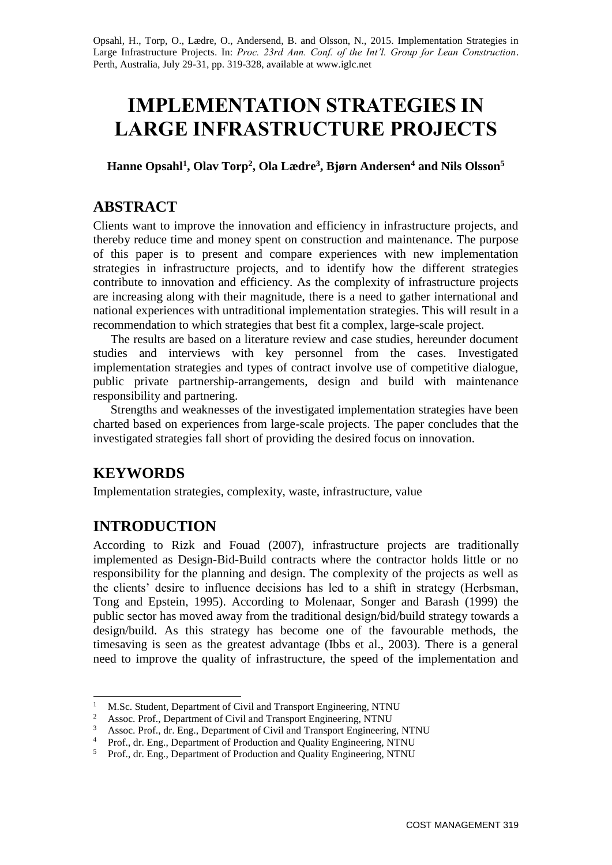Opsahl, H., Torp, O., Lædre, O., Andersend, B. and Olsson, N., 2015. Implementation Strategies in Large Infrastructure Projects. In: *Proc. 23rd Ann. Conf. of the Int'l. Group for Lean Construction*. Perth, Australia, July 29-31, pp. 319-328, available at www.iglc.net

# **IMPLEMENTATION STRATEGIES IN LARGE INFRASTRUCTURE PROJECTS**

**Hanne Opsahl<sup>1</sup> , Olav Torp<sup>2</sup> , Ola Lædre<sup>3</sup> , Bjørn Andersen<sup>4</sup> and Nils Olsson<sup>5</sup>**

### **ABSTRACT**

Clients want to improve the innovation and efficiency in infrastructure projects, and thereby reduce time and money spent on construction and maintenance. The purpose of this paper is to present and compare experiences with new implementation strategies in infrastructure projects, and to identify how the different strategies contribute to innovation and efficiency. As the complexity of infrastructure projects are increasing along with their magnitude, there is a need to gather international and national experiences with untraditional implementation strategies. This will result in a recommendation to which strategies that best fit a complex, large-scale project.

The results are based on a literature review and case studies, hereunder document studies and interviews with key personnel from the cases. Investigated implementation strategies and types of contract involve use of competitive dialogue, public private partnership-arrangements, design and build with maintenance responsibility and partnering.

Strengths and weaknesses of the investigated implementation strategies have been charted based on experiences from large-scale projects. The paper concludes that the investigated strategies fall short of providing the desired focus on innovation.

# **KEYWORDS**

-

Implementation strategies, complexity, waste, infrastructure, value

# **INTRODUCTION**

According to Rizk and Fouad (2007), infrastructure projects are traditionally implemented as Design-Bid-Build contracts where the contractor holds little or no responsibility for the planning and design. The complexity of the projects as well as the clients' desire to influence decisions has led to a shift in strategy (Herbsman, Tong and Epstein, 1995). According to Molenaar, Songer and Barash (1999) the public sector has moved away from the traditional design/bid/build strategy towards a design/build. As this strategy has become one of the favourable methods, the timesaving is seen as the greatest advantage (Ibbs et al., 2003). There is a general need to improve the quality of infrastructure, the speed of the implementation and

<sup>&</sup>lt;sup>1</sup> M.Sc. Student, Department of Civil and Transport Engineering, NTNU

<sup>2</sup> Assoc. Prof., Department of Civil and Transport Engineering, NTNU

<sup>&</sup>lt;sup>3</sup> Assoc. Prof., dr. Eng., Department of Civil and Transport Engineering, NTNU

<sup>&</sup>lt;sup>4</sup> Prof., dr. Eng., Department of Production and Quality Engineering, NTNU

<sup>&</sup>lt;sup>5</sup> Prof., dr. Eng., Department of Production and Quality Engineering, NTNU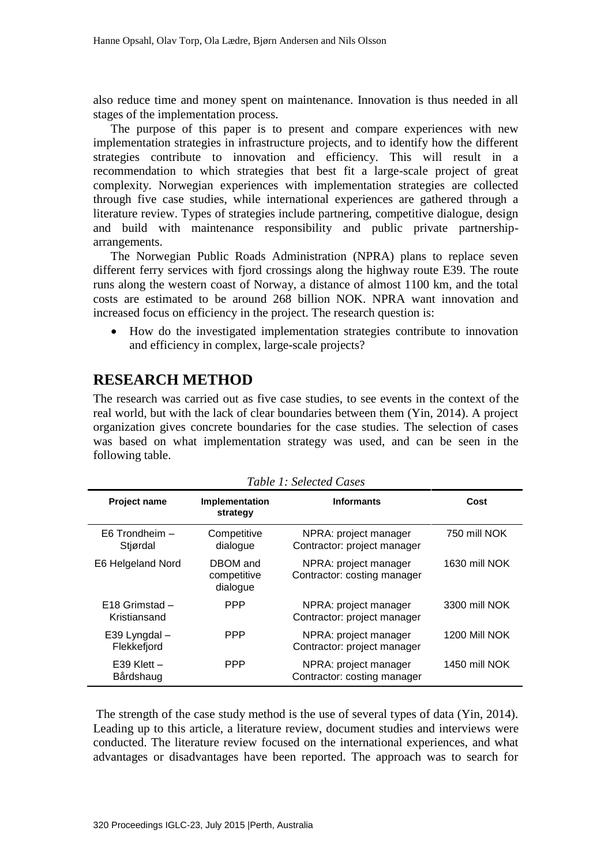also reduce time and money spent on maintenance. Innovation is thus needed in all stages of the implementation process.

The purpose of this paper is to present and compare experiences with new implementation strategies in infrastructure projects, and to identify how the different strategies contribute to innovation and efficiency. This will result in a recommendation to which strategies that best fit a large-scale project of great complexity. Norwegian experiences with implementation strategies are collected through five case studies, while international experiences are gathered through a literature review. Types of strategies include partnering, competitive dialogue, design and build with maintenance responsibility and public private partnershiparrangements.

The Norwegian Public Roads Administration (NPRA) plans to replace seven different ferry services with fjord crossings along the highway route E39. The route runs along the western coast of Norway, a distance of almost 1100 km, and the total costs are estimated to be around 268 billion NOK. NPRA want innovation and increased focus on efficiency in the project. The research question is:

 How do the investigated implementation strategies contribute to innovation and efficiency in complex, large-scale projects?

## **RESEARCH METHOD**

The research was carried out as five case studies, to see events in the context of the real world, but with the lack of clear boundaries between them (Yin, 2014). A project organization gives concrete boundaries for the case studies. The selection of cases was based on what implementation strategy was used, and can be seen in the following table.

| Tubic T. Belected Cases            |                                     |                                                      |               |
|------------------------------------|-------------------------------------|------------------------------------------------------|---------------|
| <b>Project name</b>                | Implementation<br>strategy          | <b>Informants</b>                                    | Cost          |
| E6 Trondheim -<br>Stjørdal         | Competitive<br>dialogue             | NPRA: project manager<br>Contractor: project manager | 750 mill NOK  |
| E6 Helgeland Nord                  | DBOM and<br>competitive<br>dialogue | NPRA: project manager<br>Contractor: costing manager | 1630 mill NOK |
| $E18$ Grimstad $-$<br>Kristiansand | <b>PPP</b>                          | NPRA: project manager<br>Contractor: project manager | 3300 mill NOK |
| E39 Lyngdal –<br>Flekkefjord       | <b>PPP</b>                          | NPRA: project manager<br>Contractor: project manager | 1200 Mill NOK |
| $E39$ Klett $-$<br>Bårdshaug       | <b>PPP</b>                          | NPRA: project manager<br>Contractor: costing manager | 1450 mill NOK |

*Table 1: Selected Cases*

The strength of the case study method is the use of several types of data (Yin, 2014). Leading up to this article, a literature review, document studies and interviews were conducted. The literature review focused on the international experiences, and what advantages or disadvantages have been reported. The approach was to search for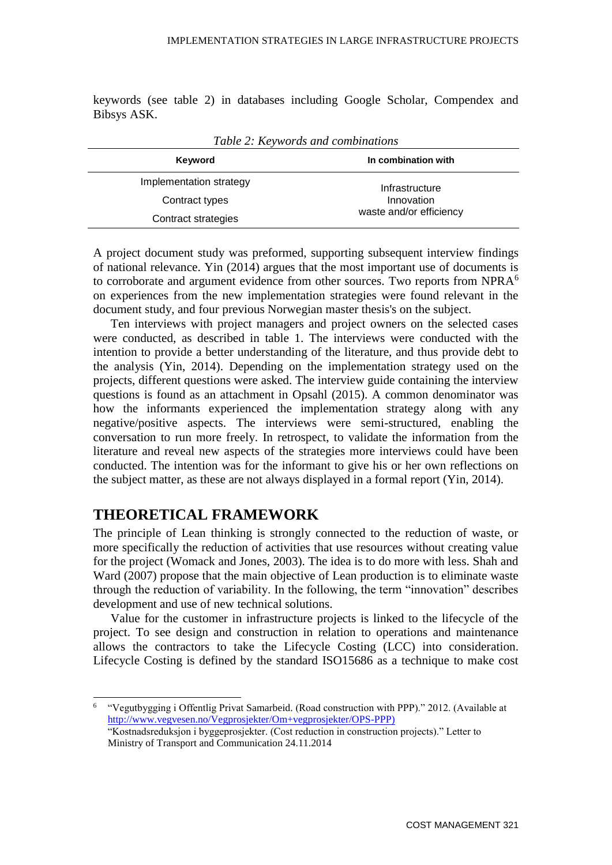keywords (see table 2) in databases including Google Scholar, Compendex and Bibsys ASK.

| $\sim$ 0.0 $\sim$ $\sim$ 0.0 $\sim$ 0.0 $\sim$ 0.0 $\sim$ 0.0 $\sim$ 0.0 $\sim$ 0.0 $\sim$ 0.0 $\sim$ |                                                         |  |  |
|-------------------------------------------------------------------------------------------------------|---------------------------------------------------------|--|--|
| Keyword                                                                                               | In combination with                                     |  |  |
| Implementation strategy                                                                               | Infrastructure<br>Innovation<br>waste and/or efficiency |  |  |
| Contract types                                                                                        |                                                         |  |  |
| Contract strategies                                                                                   |                                                         |  |  |

*Table 2: Keywords and combinations*

A project document study was preformed, supporting subsequent interview findings of national relevance. Yin (2014) argues that the most important use of documents is to corroborate and argument evidence from other sources. Two reports from  $NPRA<sup>6</sup>$ on experiences from the new implementation strategies were found relevant in the document study, and four previous Norwegian master thesis's on the subject.

Ten interviews with project managers and project owners on the selected cases were conducted, as described in table 1. The interviews were conducted with the intention to provide a better understanding of the literature, and thus provide debt to the analysis (Yin, 2014). Depending on the implementation strategy used on the projects, different questions were asked. The interview guide containing the interview questions is found as an attachment in Opsahl (2015). A common denominator was how the informants experienced the implementation strategy along with any negative/positive aspects. The interviews were semi-structured, enabling the conversation to run more freely. In retrospect, to validate the information from the literature and reveal new aspects of the strategies more interviews could have been conducted. The intention was for the informant to give his or her own reflections on the subject matter, as these are not always displayed in a formal report (Yin, 2014).

#### **THEORETICAL FRAMEWORK**

-

The principle of Lean thinking is strongly connected to the reduction of waste, or more specifically the reduction of activities that use resources without creating value for the project (Womack and Jones, 2003). The idea is to do more with less. Shah and Ward (2007) propose that the main objective of Lean production is to eliminate waste through the reduction of variability. In the following, the term "innovation" describes development and use of new technical solutions.

Value for the customer in infrastructure projects is linked to the lifecycle of the project. To see design and construction in relation to operations and maintenance allows the contractors to take the Lifecycle Costing (LCC) into consideration. Lifecycle Costing is defined by the standard ISO15686 as a technique to make cost

<sup>6</sup> "Vegutbygging i Offentlig Privat Samarbeid. (Road construction with PPP)." 2012. (Available at [http://www.vegvesen.no/Vegprosjekter/Om+vegprosjekter/OPS-PPP\)](http://www.vegvesen.no/Vegprosjekter/Om+vegprosjekter/OPS-PPP)

<sup>&</sup>quot;Kostnadsreduksjon i byggeprosjekter. (Cost reduction in construction projects)." Letter to Ministry of Transport and Communication 24.11.2014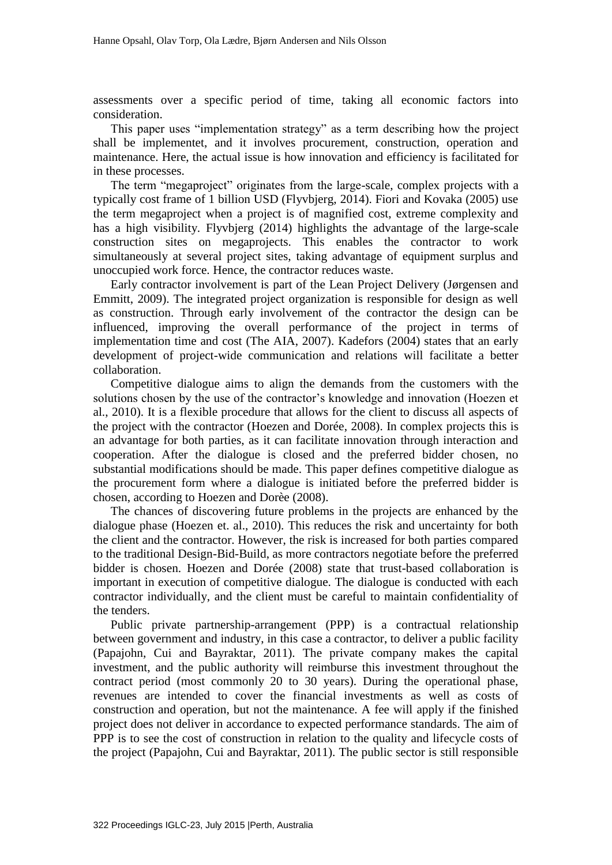assessments over a specific period of time, taking all economic factors into consideration.

This paper uses "implementation strategy" as a term describing how the project shall be implementet, and it involves procurement, construction, operation and maintenance. Here, the actual issue is how innovation and efficiency is facilitated for in these processes.

The term "megaproject" originates from the large-scale, complex projects with a typically cost frame of 1 billion USD (Flyvbjerg, 2014). Fiori and Kovaka (2005) use the term megaproject when a project is of magnified cost, extreme complexity and has a high visibility. Flyvbjerg (2014) highlights the advantage of the large-scale construction sites on megaprojects. This enables the contractor to work simultaneously at several project sites, taking advantage of equipment surplus and unoccupied work force. Hence, the contractor reduces waste.

Early contractor involvement is part of the Lean Project Delivery (Jørgensen and Emmitt, 2009). The integrated project organization is responsible for design as well as construction. Through early involvement of the contractor the design can be influenced, improving the overall performance of the project in terms of implementation time and cost (The AIA, 2007). Kadefors (2004) states that an early development of project-wide communication and relations will facilitate a better collaboration.

Competitive dialogue aims to align the demands from the customers with the solutions chosen by the use of the contractor's knowledge and innovation (Hoezen et al., 2010). It is a flexible procedure that allows for the client to discuss all aspects of the project with the contractor (Hoezen and Dorée, 2008). In complex projects this is an advantage for both parties, as it can facilitate innovation through interaction and cooperation. After the dialogue is closed and the preferred bidder chosen, no substantial modifications should be made. This paper defines competitive dialogue as the procurement form where a dialogue is initiated before the preferred bidder is chosen, according to Hoezen and Dorèe (2008).

The chances of discovering future problems in the projects are enhanced by the dialogue phase (Hoezen et. al., 2010). This reduces the risk and uncertainty for both the client and the contractor. However, the risk is increased for both parties compared to the traditional Design-Bid-Build, as more contractors negotiate before the preferred bidder is chosen. Hoezen and Dorée (2008) state that trust-based collaboration is important in execution of competitive dialogue. The dialogue is conducted with each contractor individually, and the client must be careful to maintain confidentiality of the tenders.

Public private partnership-arrangement (PPP) is a contractual relationship between government and industry, in this case a contractor, to deliver a public facility (Papajohn, Cui and Bayraktar, 2011). The private company makes the capital investment, and the public authority will reimburse this investment throughout the contract period (most commonly 20 to 30 years). During the operational phase, revenues are intended to cover the financial investments as well as costs of construction and operation, but not the maintenance. A fee will apply if the finished project does not deliver in accordance to expected performance standards. The aim of PPP is to see the cost of construction in relation to the quality and lifecycle costs of the project (Papajohn, Cui and Bayraktar, 2011). The public sector is still responsible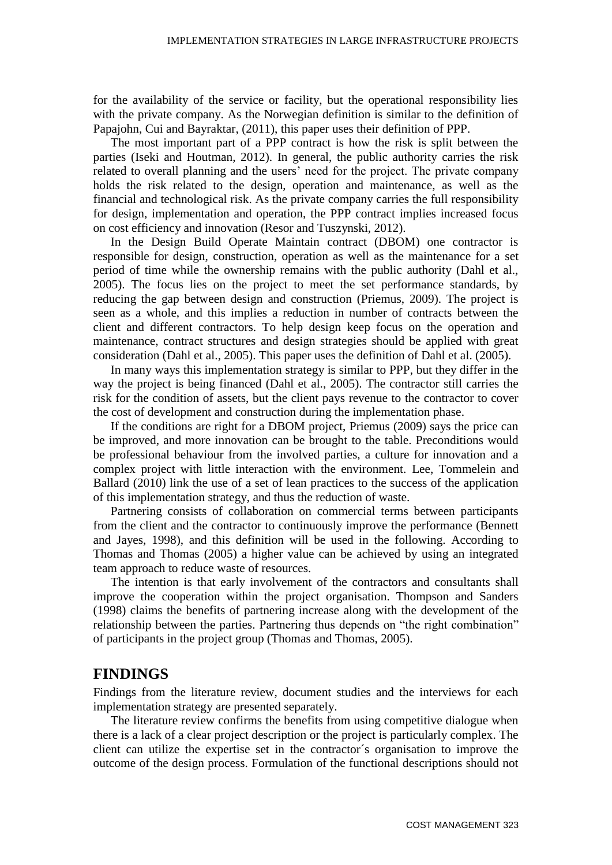for the availability of the service or facility, but the operational responsibility lies with the private company. As the Norwegian definition is similar to the definition of Papajohn, Cui and Bayraktar, (2011), this paper uses their definition of PPP.

The most important part of a PPP contract is how the risk is split between the parties (Iseki and Houtman, 2012). In general, the public authority carries the risk related to overall planning and the users' need for the project. The private company holds the risk related to the design, operation and maintenance, as well as the financial and technological risk. As the private company carries the full responsibility for design, implementation and operation, the PPP contract implies increased focus on cost efficiency and innovation (Resor and Tuszynski, 2012).

In the Design Build Operate Maintain contract (DBOM) one contractor is responsible for design, construction, operation as well as the maintenance for a set period of time while the ownership remains with the public authority (Dahl et al., 2005). The focus lies on the project to meet the set performance standards, by reducing the gap between design and construction (Priemus, 2009). The project is seen as a whole, and this implies a reduction in number of contracts between the client and different contractors. To help design keep focus on the operation and maintenance, contract structures and design strategies should be applied with great consideration (Dahl et al., 2005). This paper uses the definition of Dahl et al. (2005).

In many ways this implementation strategy is similar to PPP, but they differ in the way the project is being financed (Dahl et al., 2005). The contractor still carries the risk for the condition of assets, but the client pays revenue to the contractor to cover the cost of development and construction during the implementation phase.

If the conditions are right for a DBOM project, Priemus (2009) says the price can be improved, and more innovation can be brought to the table. Preconditions would be professional behaviour from the involved parties, a culture for innovation and a complex project with little interaction with the environment. Lee, Tommelein and Ballard (2010) link the use of a set of lean practices to the success of the application of this implementation strategy, and thus the reduction of waste.

Partnering consists of collaboration on commercial terms between participants from the client and the contractor to continuously improve the performance (Bennett and Jayes, 1998), and this definition will be used in the following. According to Thomas and Thomas (2005) a higher value can be achieved by using an integrated team approach to reduce waste of resources.

The intention is that early involvement of the contractors and consultants shall improve the cooperation within the project organisation. Thompson and Sanders (1998) claims the benefits of partnering increase along with the development of the relationship between the parties. Partnering thus depends on "the right combination" of participants in the project group (Thomas and Thomas, 2005).

#### **FINDINGS**

Findings from the literature review, document studies and the interviews for each implementation strategy are presented separately.

The literature review confirms the benefits from using competitive dialogue when there is a lack of a clear project description or the project is particularly complex. The client can utilize the expertise set in the contractor´s organisation to improve the outcome of the design process. Formulation of the functional descriptions should not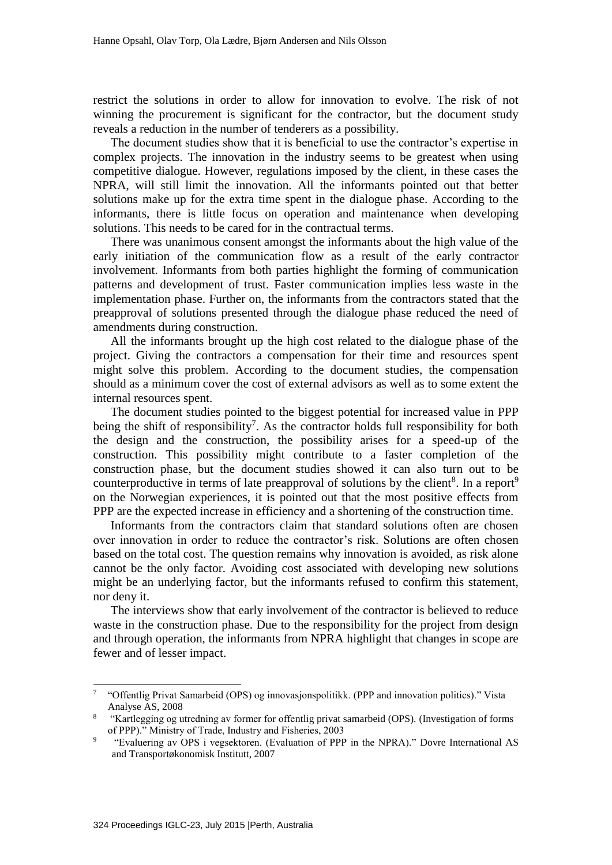restrict the solutions in order to allow for innovation to evolve. The risk of not winning the procurement is significant for the contractor, but the document study reveals a reduction in the number of tenderers as a possibility.

The document studies show that it is beneficial to use the contractor's expertise in complex projects. The innovation in the industry seems to be greatest when using competitive dialogue. However, regulations imposed by the client, in these cases the NPRA, will still limit the innovation. All the informants pointed out that better solutions make up for the extra time spent in the dialogue phase. According to the informants, there is little focus on operation and maintenance when developing solutions. This needs to be cared for in the contractual terms.

There was unanimous consent amongst the informants about the high value of the early initiation of the communication flow as a result of the early contractor involvement. Informants from both parties highlight the forming of communication patterns and development of trust. Faster communication implies less waste in the implementation phase. Further on, the informants from the contractors stated that the preapproval of solutions presented through the dialogue phase reduced the need of amendments during construction.

All the informants brought up the high cost related to the dialogue phase of the project. Giving the contractors a compensation for their time and resources spent might solve this problem. According to the document studies, the compensation should as a minimum cover the cost of external advisors as well as to some extent the internal resources spent.

The document studies pointed to the biggest potential for increased value in PPP being the shift of responsibility<sup>7</sup>. As the contractor holds full responsibility for both the design and the construction, the possibility arises for a speed-up of the construction. This possibility might contribute to a faster completion of the construction phase, but the document studies showed it can also turn out to be counterproductive in terms of late preapproval of solutions by the client<sup>8</sup>. In a report<sup>9</sup> on the Norwegian experiences, it is pointed out that the most positive effects from PPP are the expected increase in efficiency and a shortening of the construction time.

Informants from the contractors claim that standard solutions often are chosen over innovation in order to reduce the contractor's risk. Solutions are often chosen based on the total cost. The question remains why innovation is avoided, as risk alone cannot be the only factor. Avoiding cost associated with developing new solutions might be an underlying factor, but the informants refused to confirm this statement, nor deny it.

The interviews show that early involvement of the contractor is believed to reduce waste in the construction phase. Due to the responsibility for the project from design and through operation, the informants from NPRA highlight that changes in scope are fewer and of lesser impact.

-

<sup>&</sup>lt;sup>7</sup> "Offentlig Privat Samarbeid (OPS) og innovasjonspolitikk. (PPP and innovation politics)." Vista Analyse AS, 2008

<sup>8</sup> "Kartlegging og utredning av former for offentlig privat samarbeid (OPS). (Investigation of forms of PPP)." Ministry of Trade, Industry and Fisheries, 2003

 $\overline{Q}$ "Evaluering av OPS i vegsektoren. (Evaluation of PPP in the NPRA)." Dovre International AS and Transportøkonomisk Institutt, 2007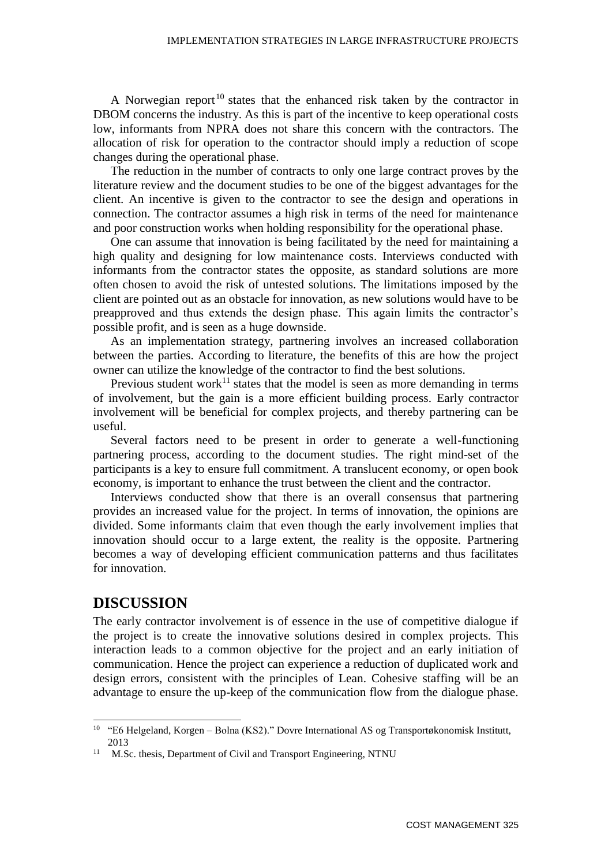A Norwegian report<sup>10</sup> states that the enhanced risk taken by the contractor in DBOM concerns the industry. As this is part of the incentive to keep operational costs low, informants from NPRA does not share this concern with the contractors. The allocation of risk for operation to the contractor should imply a reduction of scope changes during the operational phase.

The reduction in the number of contracts to only one large contract proves by the literature review and the document studies to be one of the biggest advantages for the client. An incentive is given to the contractor to see the design and operations in connection. The contractor assumes a high risk in terms of the need for maintenance and poor construction works when holding responsibility for the operational phase.

One can assume that innovation is being facilitated by the need for maintaining a high quality and designing for low maintenance costs. Interviews conducted with informants from the contractor states the opposite, as standard solutions are more often chosen to avoid the risk of untested solutions. The limitations imposed by the client are pointed out as an obstacle for innovation, as new solutions would have to be preapproved and thus extends the design phase. This again limits the contractor's possible profit, and is seen as a huge downside.

As an implementation strategy, partnering involves an increased collaboration between the parties. According to literature, the benefits of this are how the project owner can utilize the knowledge of the contractor to find the best solutions.

Previous student work<sup>11</sup> states that the model is seen as more demanding in terms of involvement, but the gain is a more efficient building process. Early contractor involvement will be beneficial for complex projects, and thereby partnering can be useful.

Several factors need to be present in order to generate a well-functioning partnering process, according to the document studies. The right mind-set of the participants is a key to ensure full commitment. A translucent economy, or open book economy, is important to enhance the trust between the client and the contractor.

Interviews conducted show that there is an overall consensus that partnering provides an increased value for the project. In terms of innovation, the opinions are divided. Some informants claim that even though the early involvement implies that innovation should occur to a large extent, the reality is the opposite. Partnering becomes a way of developing efficient communication patterns and thus facilitates for innovation.

#### **DISCUSSION**

1

The early contractor involvement is of essence in the use of competitive dialogue if the project is to create the innovative solutions desired in complex projects. This interaction leads to a common objective for the project and an early initiation of communication. Hence the project can experience a reduction of duplicated work and design errors, consistent with the principles of Lean. Cohesive staffing will be an advantage to ensure the up-keep of the communication flow from the dialogue phase.

<sup>10</sup> "E6 Helgeland, Korgen – Bolna (KS2)." Dovre International AS og Transportøkonomisk Institutt, 2013

<sup>&</sup>lt;sup>11</sup> M.Sc. thesis, Department of Civil and Transport Engineering, NTNU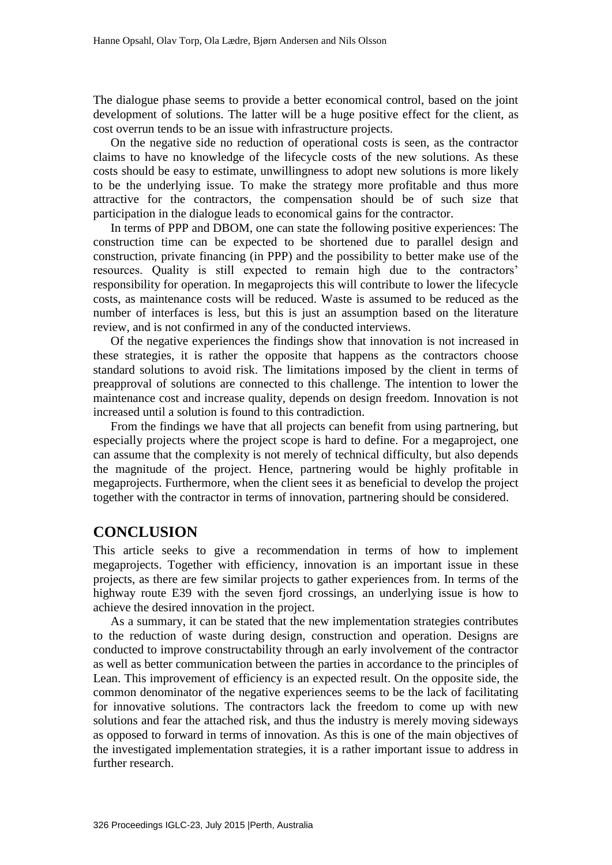The dialogue phase seems to provide a better economical control, based on the joint development of solutions. The latter will be a huge positive effect for the client, as cost overrun tends to be an issue with infrastructure projects.

On the negative side no reduction of operational costs is seen, as the contractor claims to have no knowledge of the lifecycle costs of the new solutions. As these costs should be easy to estimate, unwillingness to adopt new solutions is more likely to be the underlying issue. To make the strategy more profitable and thus more attractive for the contractors, the compensation should be of such size that participation in the dialogue leads to economical gains for the contractor.

In terms of PPP and DBOM, one can state the following positive experiences: The construction time can be expected to be shortened due to parallel design and construction, private financing (in PPP) and the possibility to better make use of the resources. Quality is still expected to remain high due to the contractors' responsibility for operation. In megaprojects this will contribute to lower the lifecycle costs, as maintenance costs will be reduced. Waste is assumed to be reduced as the number of interfaces is less, but this is just an assumption based on the literature review, and is not confirmed in any of the conducted interviews.

Of the negative experiences the findings show that innovation is not increased in these strategies, it is rather the opposite that happens as the contractors choose standard solutions to avoid risk. The limitations imposed by the client in terms of preapproval of solutions are connected to this challenge. The intention to lower the maintenance cost and increase quality, depends on design freedom. Innovation is not increased until a solution is found to this contradiction.

From the findings we have that all projects can benefit from using partnering, but especially projects where the project scope is hard to define. For a megaproject, one can assume that the complexity is not merely of technical difficulty, but also depends the magnitude of the project. Hence, partnering would be highly profitable in megaprojects. Furthermore, when the client sees it as beneficial to develop the project together with the contractor in terms of innovation, partnering should be considered.

#### **CONCLUSION**

This article seeks to give a recommendation in terms of how to implement megaprojects. Together with efficiency, innovation is an important issue in these projects, as there are few similar projects to gather experiences from. In terms of the highway route E39 with the seven fjord crossings, an underlying issue is how to achieve the desired innovation in the project.

As a summary, it can be stated that the new implementation strategies contributes to the reduction of waste during design, construction and operation. Designs are conducted to improve constructability through an early involvement of the contractor as well as better communication between the parties in accordance to the principles of Lean. This improvement of efficiency is an expected result. On the opposite side, the common denominator of the negative experiences seems to be the lack of facilitating for innovative solutions. The contractors lack the freedom to come up with new solutions and fear the attached risk, and thus the industry is merely moving sideways as opposed to forward in terms of innovation. As this is one of the main objectives of the investigated implementation strategies, it is a rather important issue to address in further research.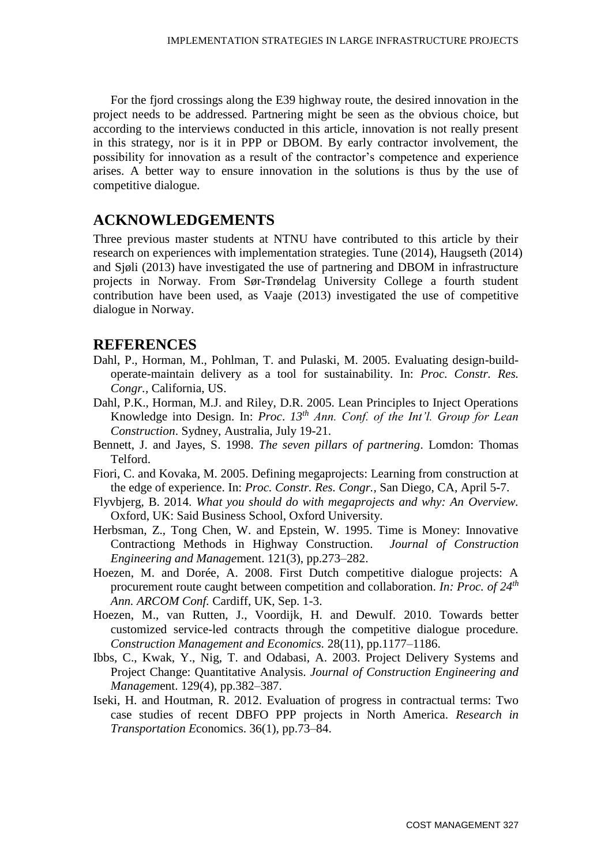For the fjord crossings along the E39 highway route, the desired innovation in the project needs to be addressed. Partnering might be seen as the obvious choice, but according to the interviews conducted in this article, innovation is not really present in this strategy, nor is it in PPP or DBOM. By early contractor involvement, the possibility for innovation as a result of the contractor's competence and experience arises. A better way to ensure innovation in the solutions is thus by the use of competitive dialogue.

#### **ACKNOWLEDGEMENTS**

Three previous master students at NTNU have contributed to this article by their research on experiences with implementation strategies. Tune (2014), Haugseth (2014) and Sjøli (2013) have investigated the use of partnering and DBOM in infrastructure projects in Norway. From Sør-Trøndelag University College a fourth student contribution have been used, as Vaaje (2013) investigated the use of competitive dialogue in Norway.

#### **REFERENCES**

- Dahl, P., Horman, M., Pohlman, T. and Pulaski, M. 2005. Evaluating design-buildoperate-maintain delivery as a tool for sustainability. In: *Proc. Constr. Res. Congr.,* California, US.
- Dahl, P.K., Horman, M.J. and Riley, D.R. 2005. Lean Principles to Inject Operations Knowledge into Design. In: *Proc*. *13th Ann. Conf. of the Int'l. Group for Lean Construction*. Sydney, Australia, July 19-21.
- Bennett, J. and Jayes, S. 1998. *The seven pillars of partnering*. Lomdon: Thomas Telford.
- Fiori, C. and Kovaka, M. 2005. Defining megaprojects: Learning from construction at the edge of experience. In: *Proc. Constr. Res. Congr.,* San Diego, CA, April 5-7.
- Flyvbjerg, B. 2014. *What you should do with megaprojects and why: An Overview.* Oxford, UK: Said Business School, Oxford University.
- Herbsman, Z., Tong Chen, W. and Epstein, W. 1995. Time is Money: Innovative Contractiong Methods in Highway Construction. *Journal of Construction Engineering and Manage*ment. 121(3), pp.273–282.
- Hoezen, M. and Dorée, A. 2008. First Dutch competitive dialogue projects: A procurement route caught between competition and collaboration. *In: Proc. of 24th Ann. ARCOM Conf.* Cardiff, UK, Sep. 1-3.
- Hoezen, M., van Rutten, J., Voordijk, H. and Dewulf. 2010. Towards better customized service-led contracts through the competitive dialogue procedure. *Construction Management and Economics.* 28(11), pp.1177–1186.
- Ibbs, C., Kwak, Y., Nig, T. and Odabasi, A. 2003. Project Delivery Systems and Project Change: Quantitative Analysis. *Journal of Construction Engineering and Managem*ent. 129(4), pp.382–387.
- Iseki, H. and Houtman, R. 2012. Evaluation of progress in contractual terms: Two case studies of recent DBFO PPP projects in North America. *Research in Transportation E*conomics. 36(1), pp.73–84.